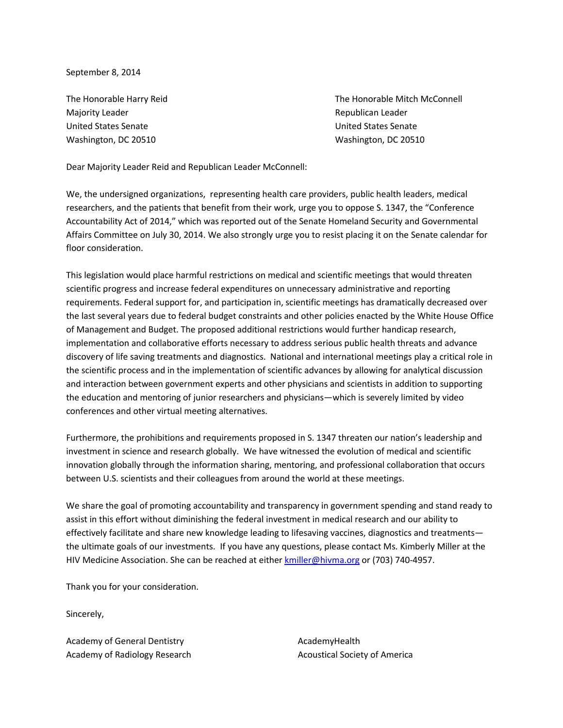September 8, 2014

Majority Leader **Republican Leader Majority Leader Republican Leader Republican Leader** United States Senate United States Senate Washington, DC 20510 Washington, DC 20510

The Honorable Harry Reid The Honorable Mitch McConnell

Dear Majority Leader Reid and Republican Leader McConnell:

We, the undersigned organizations, representing health care providers, public health leaders, medical researchers, and the patients that benefit from their work, urge you to oppose S. 1347, the "Conference Accountability Act of 2014," which was reported out of the Senate Homeland Security and Governmental Affairs Committee on July 30, 2014. We also strongly urge you to resist placing it on the Senate calendar for floor consideration.

This legislation would place harmful restrictions on medical and scientific meetings that would threaten scientific progress and increase federal expenditures on unnecessary administrative and reporting requirements. Federal support for, and participation in, scientific meetings has dramatically decreased over the last several years due to federal budget constraints and other policies enacted by the White House Office of Management and Budget. The proposed additional restrictions would further handicap research, implementation and collaborative efforts necessary to address serious public health threats and advance discovery of life saving treatments and diagnostics. National and international meetings play a critical role in the scientific process and in the implementation of scientific advances by allowing for analytical discussion and interaction between government experts and other physicians and scientists in addition to supporting the education and mentoring of junior researchers and physicians—which is severely limited by video conferences and other virtual meeting alternatives.

Furthermore, the prohibitions and requirements proposed in S. 1347 threaten our nation's leadership and investment in science and research globally. We have witnessed the evolution of medical and scientific innovation globally through the information sharing, mentoring, and professional collaboration that occurs between U.S. scientists and their colleagues from around the world at these meetings.

We share the goal of promoting accountability and transparency in government spending and stand ready to assist in this effort without diminishing the federal investment in medical research and our ability to effectively facilitate and share new knowledge leading to lifesaving vaccines, diagnostics and treatments the ultimate goals of our investments. If you have any questions, please contact Ms. Kimberly Miller at the HIV Medicine Association. She can be reached at eithe[r kmiller@hivma.org](mailto:kmiller@hivma.org) or (703) 740-4957.

Thank you for your consideration.

Sincerely,

Academy of General Dentistry Academy of Radiology Research AcademyHealth Acoustical Society of America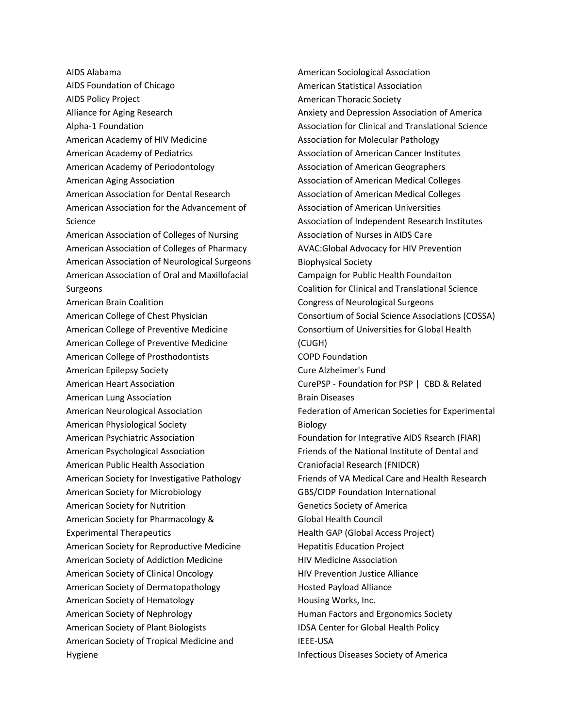AIDS Alabama AIDS Foundation of Chicago AIDS Policy Project Alliance for Aging Research Alpha-1 Foundation American Academy of HIV Medicine American Academy of Pediatrics American Academy of Periodontology American Aging Association American Association for Dental Research American Association for the Advancement of Science American Association of Colleges of Nursing American Association of Colleges of Pharmacy American Association of Neurological Surgeons American Association of Oral and Maxillofacial Surgeons American Brain Coalition American College of Chest Physician American College of Preventive Medicine American College of Preventive Medicine American College of Prosthodontists American Epilepsy Society American Heart Association American Lung Association American Neurological Association American Physiological Society American Psychiatric Association American Psychological Association American Public Health Association American Society for Investigative Pathology American Society for Microbiology American Society for Nutrition American Society for Pharmacology & Experimental Therapeutics American Society for Reproductive Medicine American Society of Addiction Medicine American Society of Clinical Oncology American Society of Dermatopathology American Society of Hematology American Society of Nephrology American Society of Plant Biologists American Society of Tropical Medicine and Hygiene

American Sociological Association American Statistical Association American Thoracic Society Anxiety and Depression Association of America Association for Clinical and Translational Science Association for Molecular Pathology Association of American Cancer Institutes Association of American Geographers Association of American Medical Colleges Association of American Medical Colleges Association of American Universities Association of Independent Research Institutes Association of Nurses in AIDS Care AVAC:Global Advocacy for HIV Prevention Biophysical Society Campaign for Public Health Foundaiton Coalition for Clinical and Translational Science Congress of Neurological Surgeons Consortium of Social Science Associations (COSSA) Consortium of Universities for Global Health (CUGH) COPD Foundation Cure Alzheimer's Fund CurePSP - Foundation for PSP | CBD & Related Brain Diseases Federation of American Societies for Experimental Biology Foundation for Integrative AIDS Rsearch (FIAR) Friends of the National Institute of Dental and Craniofacial Research (FNIDCR) Friends of VA Medical Care and Health Research GBS/CIDP Foundation International Genetics Society of America Global Health Council Health GAP (Global Access Project) Hepatitis Education Project HIV Medicine Association HIV Prevention Justice Alliance Hosted Payload Alliance Housing Works, Inc. Human Factors and Ergonomics Society IDSA Center for Global Health Policy IEEE-USA Infectious Diseases Society of America